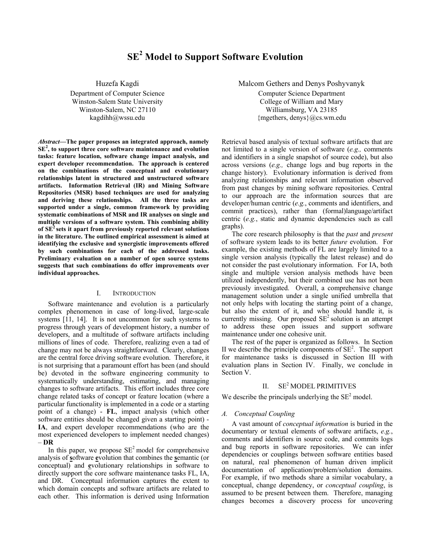# **SE2 Model to Support Software Evolution**

Huzefa Kagdi

Department of Computer Science Winston-Salem State University Winston-Salem, NC 27110 kagdihh@wssu.edu

*Abstract***—The paper proposes an integrated approach, namely SE<sup>2</sup> , to support three core software maintenance and evolution tasks: feature location, software change impact analysis, and expert developer recommendation. The approach is centered on the combinations of the conceptual and evolutionary relationships latent in structured and unstructured software artifacts. Information Retrieval (IR) and Mining Software Repositories (MSR) based techniques are used for analyzing and deriving these relationships. All the three tasks are supported under a single, common framework by providing systematic combinations of MSR and IR analyses on single and multiple versions of a software system. This combining ability of SE2 sets it apart from previously reported relevant solutions in the literature. The outlined empirical assessment is aimed at identifying the exclusive and synergistic improvements offered by such combinations for each of the addressed tasks. Preliminary evaluation on a number of open source systems suggests that such combinations do offer improvements over individual approaches.** 

#### I. INTRODUCTION

Software maintenance and evolution is a particularly complex phenomenon in case of long-lived, large-scale systems [11, 14]. It is not uncommon for such systems to progress through years of development history, a number of developers, and a multitude of software artifacts including millions of lines of code. Therefore, realizing even a tad of change may not be always straightforward. Clearly, changes are the central force driving software evolution. Therefore, it is not surprising that a paramount effort has been (and should be) devoted in the software engineering community to systematically understanding, estimating, and managing changes to software artifacts. This effort includes three core change related tasks of concept or feature location (where a particular functionality is implemented in a code or a starting point of a change) - **FL**, impact analysis (which other software entities should be changed given a starting point) - **IA**, and expert developer recommendations (who are the most experienced developers to implement needed changes) – **DR** 

In this paper, we propose  $SE^2$  model for comprehensive analysis of **s**oftware **e**volution that combines the **s**emantic (or conceptual) and **e**volutionary relationships in software to directly support the core software maintenance tasks FL, IA, and DR. Conceptual information captures the extent to which domain concepts and software artifacts are related to each other. This information is derived using Information Malcom Gethers and Denys Poshyvanyk Computer Science Department College of William and Mary Williamsburg, VA 23185  ${mgethers, denys}$  $@cs.wm.edu$ 

Retrieval based analysis of textual software artifacts that are not limited to a single version of software (*e.g.,* comments and identifiers in a single snapshot of source code), but also across versions (*e.g.,* change logs and bug reports in the change history). Evolutionary information is derived from analyzing relationships and relevant information observed from past changes by mining software repositories. Central to our approach are the information sources that are developer/human centric (*e.g.*, comments and identifiers, and commit practices), rather than (formal)language/artifact centric (*e.g.*, static and dynamic dependencies such as call graphs).

The core research philosophy is that the *past* and *present* of software system leads to its better *future* evolution. For example, the existing methods of FL are largely limited to a single version analysis (typically the latest release) and do not consider the past evolutionary information. For IA, both single and multiple version analysis methods have been utilized independently, but their combined use has not been previously investigated. Overall, a comprehensive change management solution under a single unified umbrella that not only helps with locating the starting point of a change, but also the extent of it, and who should handle it, is currently missing. Our proposed  $SE<sup>2</sup>$  solution is an attempt to address these open issues and support software maintenance under one cohesive unit.

The rest of the paper is organized as follows. In Section II we describe the principle components of  $SE<sup>2</sup>$ . The support for maintenance tasks is discussed in Section III with evaluation plans in Section IV. Finally, we conclude in Section V.

# II. SE<sup>2</sup> MODEL PRIMITIVES

We describe the principals underlying the  $SE<sup>2</sup>$  model.

## *A. Conceptual Coupling*

A vast amount of *conceptual information* is buried in the documentary or textual elements of software artifacts, *e.g.*, comments and identifiers in source code, and commits logs and bug reports in software repositories. We can infer dependencies or couplings between software entities based on natural, real phenomenon of human driven implicit documentation of application/problem/solution domains. For example, if two methods share a similar vocabulary, a conceptual, change dependency, or *conceptual coupling*, is assumed to be present between them. Therefore, managing changes becomes a discovery process for uncovering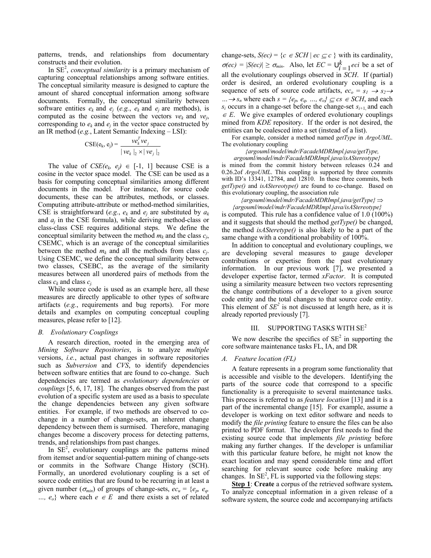patterns, trends, and relationships from documentary constructs and their evolution.

In SE<sup>2</sup>, *conceptual similarity* is a primary mechanism of capturing conceptual relationships among software entities. The conceptual similarity measure is designed to capture the amount of shared conceptual information among software documents. Formally, the conceptual similarity between software entities  $e_k$  and  $e_j$  (*e.g.,*  $e_k$  and  $e_j$  are methods), is computed as the cosine between the vectors  $ve_k$  and  $ve_j$ , corresponding to  $e_k$  and  $e_j$  in the vector space constructed by an IR method (*e.g.*, Latent Semantic Indexing – LSI):

$$
\text{CSE}(\mathbf{e}_k, \mathbf{e}_j) = \frac{v e_k^T v e_j}{|v e_k|_2 \times |v e_j|_2}
$$

The value of  $CSE(e_k, e_j) \in [-1, 1]$  because CSE is a cosine in the vector space model. The CSE can be used as a basis for computing conceptual similarities among different documents in the model. For instance, for source code documents, these can be attributes, methods, or classes. Computing attribute-attribute or method-method similarities, CSE is straightforward (*e.g.*,  $e_k$  and  $e_j$  are substituted by  $a_k$ and  $a_i$  in the CSE formula), while deriving method-class or class-class CSE requires additional steps. We define the conceptual similarity between the method  $m_k$  and the class  $c_i$ , CSEMC, which is an average of the conceptual similarities between the method  $m_k$  and all the methods from class  $c_i$ . Using CSEMC, we define the conceptual similarity between two classes, CSEBC, as the average of the similarity measures between all unordered pairs of methods from the class  $c_k$  and class  $c_i$ 

While source code is used as an example here, all these measures are directly applicable to other types of software artifacts (*e.g.*, requirements and bug reports). For more details and examples on computing conceptual coupling measures, please refer to [12].

### *B. Evolutionary Couplings*

A research direction, rooted in the emerging area of *Mining Software Repositories*, is to analyze *multiple* versions, *i.e.*, actual past changes in software repositories such as *Subversion* and *CVS*, to identify dependencies between software entities that are found to co-change. Such dependencies are termed as *evolutionary dependencies* or *couplings* [5, 6, 17, 18]. The changes observed from the past evolution of a specific system are used as a basis to speculate the change dependencies between any given software entities. For example, if two methods are observed to cochange in a number of change-sets, an inherent change dependency between them is surmised. Therefore, managing changes become a discovery process for detecting patterns, trends, and relationships from past changes.

In  $SE<sup>2</sup>$ , evolutionary couplings are the patterns mined from itemset and/or sequential-pattern mining of change-sets or commits in the Software Change History (SCH). Formally, an unordered evolutionary coupling is a set of source code entities that are found to be recurring in at least a given number  $(\sigma_{min})$  of groups of change-sets,  $ec_u = \{e_p, e_q,$ *…, e<sub>o</sub>*} where each  $e \in E$  and there exists a set of related

change-sets,  $S(ec) = \{c \in SCH \mid ec \subseteq c\}$  with its cardinality,  $\sigma(ec) = |S(ec)| \ge \sigma_{min}$ . Also, let  $EC = \bigcup_{i=1}^{k} eci$  be a set of all the evolutionary couplings observed in *SCH*. If (partial) order is desired, an ordered evolutionary coupling is a sequence of sets of source code artifacts,  $ec_0 = s_1 \rightarrow s_2 \rightarrow$ *…* → *s<sub>n</sub>* where each *s* = { $e_p$ ,  $e_q$ , *…*,  $e_o$ }  $\subseteq$  *cs*  $\in$  *SCH*, and each  $s_i$  occurs in a change-set before the change-set  $s_{i+1}$  and each  $\epsilon E$ . We give examples of ordered evolutionary couplings mined from *KDE* repository. If the order is not desired, the entities can be coalesced into a set (instead of a list).

For example, consider a method named *getType* in *ArgoUML*. The evolutionary coupling

*{argouml/model/mdr/FacadeMDRImpl.java/getType, argouml/model/mdr/FacadeMDRImpl.java/isAStereotype}*

is mined from the commit history between releases 0.24 and 0.26.2of *ArgoUML*. This coupling is supported by three commits with ID's 13341, 12784, and 12810. In these three commits, both *getType()* and *isAStereotype()* are found to co-change. Based on this evolutionary coupling, the association rule

*{argouml/model/mdr/FacadeMDRImpl.java/getType} {argouml/model/mdr/FacadeMDRImpl.java/isAStereotype}*  is computed. This rule has a confidence value of 1.0 (100%) and it suggests that should the method *getType()* be changed, the method *isASteretype()* is also likely to be a part of the same change with a conditional probability of 100%.

In addition to conceptual and evolutionary couplings, we are developing several measures to gauge developer contributions or expertise from the past evolutionary information. In our previous work [7], we presented a developer expertise factor, termed *xFactor*. It is computed using a similarity measure between two vectors representing the change contributions of a developer to a given source code entity and the total changes to that source code entity. This element of  $SE<sup>2</sup>$  is not discussed at length here, as it is already reported previously [7].

## III. SUPPORTING TASKS WITH  $SE<sup>2</sup>$

We now describe the specifics of  $SE<sup>2</sup>$  in supporting the core software maintenance tasks FL, IA, and DR

#### *A. Feature location (FL)*

A feature represents in a program some functionality that is accessible and visible to the developers. Identifying the parts of the source code that correspond to a specific functionality is a prerequisite to several maintenance tasks. This process is referred to as *feature location* [13] and it is a part of the incremental change [15]. For example, assume a developer is working on text editor software and needs to modify the *file printing* feature to ensure the files can be also printed to PDF format. The developer first needs to find the existing source code that implements *file printing* before making any further changes. If the developer is unfamiliar with this particular feature before, he might not know the exact location and may spend considerable time and effort searching for relevant source code before making any changes. In  $SE^2$ , FL is supported via the following steps:

**Step 1**: **Create** a corpus of the retrieved software system**.**  To analyze conceptual information in a given release of a software system, the source code and accompanying artifacts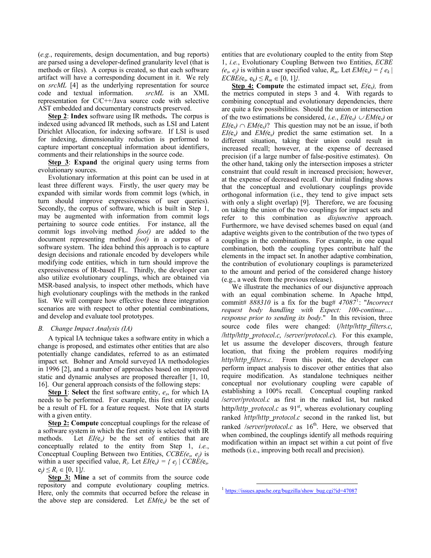(*e.g.*, requirements, design documentation, and bug reports) are parsed using a developer-defined granularity level (that is methods or files). A corpus is created, so that each software artifact will have a corresponding document in it. We rely on *srcML* [4] as the underlying representation for source code and textual information. *srcML* is an XML representation for C/C++/Java source code with selective AST embedded and documentary constructs preserved.

**Step 2**: **Index** software using IR methods**.** The corpus is indexed using advanced IR methods, such as LSI and Latent Dirichlet Allocation, for indexing software. If LSI is used for indexing, dimensionality reduction is performed to capture important conceptual information about identifiers, comments and their relationships in the source code.

**Step 3**: **Expand** the original query using terms from evolutionary sources.

Evolutionary information at this point can be used in at least three different ways. Firstly, the user query may be expanded with similar words from commit logs (which, in turn should improve expressiveness of user queries). Secondly, the corpus of software, which is built in Step 1, may be augmented with information from commit logs pertaining to source code entities. For instance, all the commit logs involving method *foo()* are added to the document representing method *foo()* in a corpus of a software system. The idea behind this approach is to capture design decisions and rationale encoded by developers while modifying code entities, which in turn should improve the expressiveness of IR-based FL. Thirdly, the developer can also utilize evolutionary couplings, which are obtained via MSR-based analysis, to inspect other methods, which have high evolutionary couplings with the methods in the ranked list. We will compare how effective these three integration scenarios are with respect to other potential combinations, and develop and evaluate tool prototypes.

## *B. Change Impact Analysis (IA)*

A typical IA technique takes a software entity in which a change is proposed, and estimates other entities that are also potentially change candidates, referred to as an estimated impact set. Bohner and Arnold surveyed IA methodologies in 1996 [2], and a number of approaches based on improved static and dynamic analyses are proposed thereafter [1, 10, 16]. Our general approach consists of the following steps:

**Step 1**: **Select** the first software entity, *es*, for which IA needs to be performed. For example, this first entity could be a result of FL for a feature request. Note that IA starts with a given entity.

**Step 2: Compute** conceptual couplings for the release of a software system in which the first entity is selected with IR methods. Let *EI(*e*s)* be the set of entities that are conceptually related to the entity from Step 1, *i.e.*, Conceptual Coupling Between two Entities, *CCBE(es, ej)* is within a user specified value,  $R_i$ . Let  $EI(e_s) = \{e_i \mid CCBE(e_s) \}$  $e_i$  $\leq$  $R_i$   $\in$  [0, 1] $\}$ .

**Step 3: Mine** a set of commits from the source code repository and compute evolutionary coupling metrics. Here, only the commits that occurred before the release in the above step are considered. Let *EM(*e*s)* be the set of entities that are evolutionary coupled to the entity from Step 1, *i.e.*, Evolutionary Coupling Between two Entities, *ECBE*   $(e_s, e_i)$  is within a user specified value,  $R_m$ . Let  $EM(e_s) = \{e_k\}$  $\text{ECBE}(e_s, e_k) \leq R_m \in [0, 1]$ .

**Step 4: Compute** the estimated impact set, *E(*e*s),* from the metrics computed in steps 3 and 4. With regards to combining conceptual and evolutionary dependencies, there are quite a few possibilities. Should the union or intersection of the two estimations be considered, *i.e.*,  $EI(e_0) \cup EM(e_1)$  or  $EI(e_s) \cap EM(e_s)$ ? This question may not be an issue, if both *EI(*e*s)* and *EM(*e*s)* predict the same estimation set. In a different situation, taking their union could result in increased recall; however, at the expense of decreased precision (if a large number of false-positive estimates). On the other hand, taking only the intersection imposes a stricter constraint that could result in increased precision; however, at the expense of decreased recall. Our initial finding shows that the conceptual and evolutionary couplings provide orthogonal information (i.e., they tend to give impact sets with only a slight overlap) [9]. Therefore, we are focusing on taking the union of the two couplings for impact sets and refer to this combination as *disjunctive* approach. Furthermore, we have devised schemes based on equal (and adaptive weights given to the contribution of the two types of couplings in the combinations. For example, in one equal combination, both the coupling types contribute half the elements in the impact set. In another adaptive combination, the contribution of evolutionary couplings is parameterized to the amount and period of the considered change history (e.g., a week from the previous release).

We illustrate the mechanics of our disjunctive approach with an equal combination scheme. In Apache httpd, commit# *888310* is a fix for the bug# *47087*<sup>1</sup> : "*Incorrect request body handling with Expect: 100-continue…. response prior to sending its body*." In this revision, three source code files were changed: (*/http/http\_filters.c, /http/http\_protocol.c, /server/protocol.c*). For this example, let us assume the developer discovers, through feature location, that fixing the problem requires modifying *http/http\_filters.c*. From this point, the developer can perform impact analysis to discover other entities that also require modification. As standalone techniques neither conceptual nor evolutionary coupling were capable of establishing a 100% recall. Conceptual coupling ranked */server/protocol.c* as first in the ranked list, but ranked http/http\_protocol.c as 91<sup>st</sup>, whereas evolutionary coupling ranked *http/http\_protocol.c* second in the ranked list, but ranked /server/protocol.c as 16<sup>th</sup>. Here, we observed that when combined, the couplings identify all methods requiring modification within an impact set within a cut point of five methods (i.e., improving both recall and precision).

<sup>&</sup>lt;sup>1</sup> https://issues.apache.org/bugzilla/show\_bug.cgi?id=47087